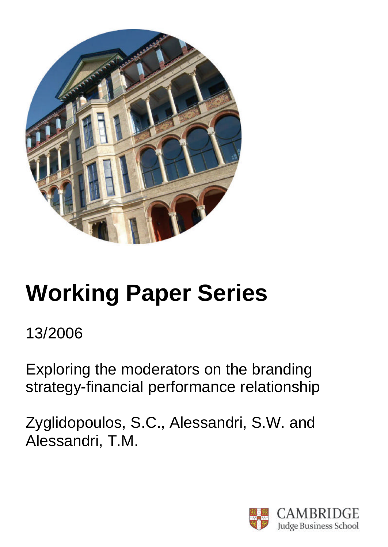

# **Working Paper Series**

13/2006

Exploring the moderators on the branding strategy-financial performance relationship

Zyglidopoulos, S.C., Alessandri, S.W. and Alessandri, T.M.

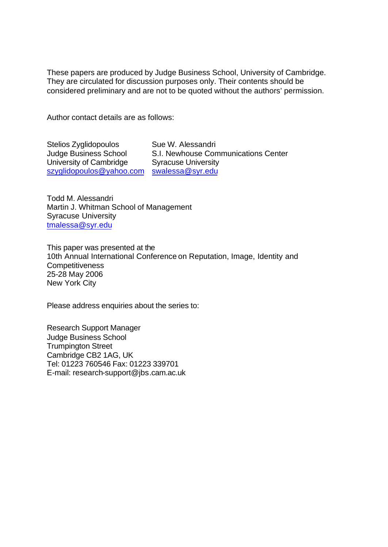These papers are produced by Judge Business School, University of Cambridge. They are circulated for discussion purposes only. Their contents should be considered preliminary and are not to be quoted without the authors' permission.

Author contact details are as follows:

Stelios Zyglidopoulos Judge Business School University of Cambridge szyglidopoulos@yahoo.com swalessa@syr.edu

Sue W. Alessandri S.I. Newhouse Communications Center Syracuse University

Todd M. Alessandri Martin J. Whitman School of Management Syracuse University tmalessa@syr.edu

This paper was presented at the 10th Annual International Conference on Reputation, Image, Identity and **Competitiveness** 25-28 May 2006 New York City

Please address enquiries about the series to:

Research Support Manager Judge Business School Trumpington Street Cambridge CB2 1AG, UK Tel: 01223 760546 Fax: 01223 339701 E-mail: research-support@jbs.cam.ac.uk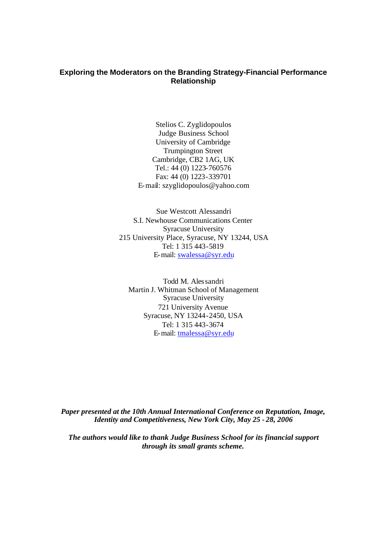# **Exploring the Moderators on the Branding Strategy-Financial Performance Relationship**

Stelios C. Zyglidopoulos Judge Business School University of Cambridge Trumpington Street Cambridge, CB2 1AG, UK Tel.: 44 (0) 1223-760576 Fax: 44 (0) 1223-339701 E-mail: szyglidopoulos@yahoo.com

Sue Westcott Alessandri S.I. Newhouse Communications Center Syracuse University 215 University Place, Syracuse, NY 13244, USA Tel: 1 315 443-5819 E-mail: swalessa@syr.edu

Todd M. Alessandri Martin J. Whitman School of Management Syracuse University 721 University Avenue Syracuse, NY 13244-2450, USA Tel: 1 315 443-3674 E-mail: tmalessa@syr.edu

*Paper presented at the 10th Annual International Conference on Reputation, Image, Identity and Competitiveness, New York City, May 25 - 28, 2006*

*The authors would like to thank Judge Business School for its financial support through its small grants scheme.*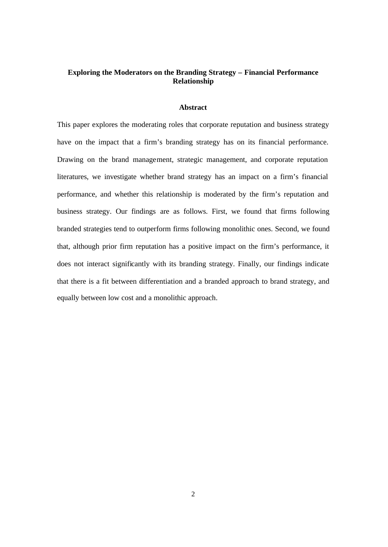# **Exploring the Moderators on the Branding Strategy – Financial Performance Relationship**

#### **Abstract**

This paper explores the moderating roles that corporate reputation and business strategy have on the impact that a firm's branding strategy has on its financial performance. Drawing on the brand management, strategic management, and corporate reputation literatures, we investigate whether brand strategy has an impact on a firm's financial performance, and whether this relationship is moderated by the firm's reputation and business strategy. Our findings are as follows. First, we found that firms following branded strategies tend to outperform firms following monolithic ones. Second, we found that, although prior firm reputation has a positive impact on the firm's performance, it does not interact significantly with its branding strategy. Finally, our findings indicate that there is a fit between differentiation and a branded approach to brand strategy, and equally between low cost and a monolithic approach.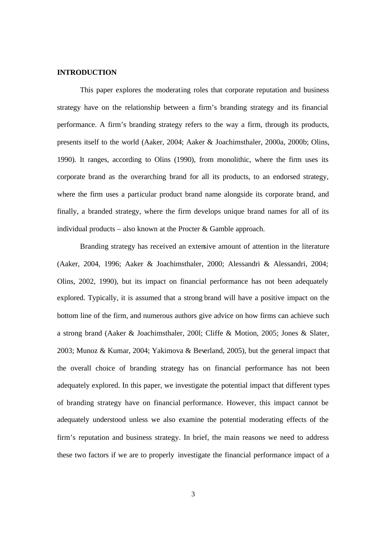#### **INTRODUCTION**

This paper explores the moderating roles that corporate reputation and business strategy have on the relationship between a firm's branding strategy and its financial performance. A firm's branding strategy refers to the way a firm, through its products, presents itself to the world (Aaker, 2004; Aaker & Joachimsthaler, 2000a, 2000b; Olins, 1990). It ranges, according to Olins (1990), from monolithic, where the firm uses its corporate brand as the overarching brand for all its products, to an endorsed strategy, where the firm uses a particular product brand name alongside its corporate brand, and finally, a branded strategy, where the firm develops unique brand names for all of its individual products – also known at the Procter  $\&$  Gamble approach.

Branding strategy has received an extensive amount of attention in the literature (Aaker, 2004, 1996; Aaker & Joachimsthaler, 2000; Alessandri & Alessandri, 2004; Olins, 2002, 1990), but its impact on financial performance has not been adequately explored. Typically, it is assumed that a strong brand will have a positive impact on the bottom line of the firm, and numerous authors give advice on how firms can achieve such a strong brand (Aaker & Joachimsthaler, 200l; Cliffe & Motion, 2005; Jones & Slater, 2003; Munoz & Kumar, 2004; Yakimova & Beverland, 2005), but the general impact that the overall choice of branding strategy has on financial performance has not been adequately explored. In this paper, we investigate the potential impact that different types of branding strategy have on financial performance. However, this impact cannot be adequately understood unless we also examine the potential moderating effects of the firm's reputation and business strategy. In brief, the main reasons we need to address these two factors if we are to properly investigate the financial performance impact of a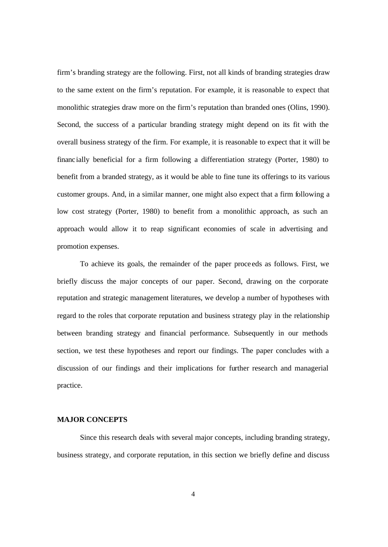firm's branding strategy are the following. First, not all kinds of branding strategies draw to the same extent on the firm's reputation. For example, it is reasonable to expect that monolithic strategies draw more on the firm's reputation than branded ones (Olins, 1990). Second, the success of a particular branding strategy might depend on its fit with the overall business strategy of the firm. For example, it is reasonable to expect that it will be financially beneficial for a firm following a differentiation strategy (Porter, 1980) to benefit from a branded strategy, as it would be able to fine tune its offerings to its various customer groups. And, in a similar manner, one might also expect that a firm following a low cost strategy (Porter, 1980) to benefit from a monolithic approach, as such an approach would allow it to reap significant economies of scale in advertising and promotion expenses.

 To achieve its goals, the remainder of the paper proce eds as follows. First, we briefly discuss the major concepts of our paper. Second, drawing on the corporate reputation and strategic management literatures, we develop a number of hypotheses with regard to the roles that corporate reputation and business strategy play in the relationship between branding strategy and financial performance. Subsequently in our methods section, we test these hypotheses and report our findings. The paper concludes with a discussion of our findings and their implications for further research and managerial practice.

#### **MAJOR CONCEPTS**

Since this research deals with several major concepts, including branding strategy, business strategy, and corporate reputation, in this section we briefly define and discuss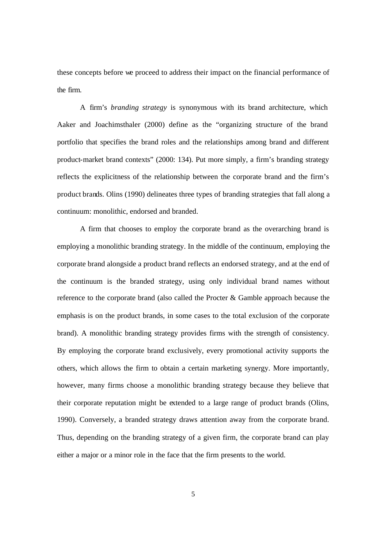these concepts before we proceed to address their impact on the financial performance of the firm.

A firm's *branding strategy* is synonymous with its brand architecture, which Aaker and Joachimsthaler (2000) define as the "organizing structure of the brand portfolio that specifies the brand roles and the relationships among brand and different product-market brand contexts" (2000: 134). Put more simply, a firm's branding strategy reflects the explicitness of the relationship between the corporate brand and the firm's product brands. Olins (1990) delineates three types of branding strategies that fall along a continuum: monolithic, endorsed and branded.

A firm that chooses to employ the corporate brand as the overarching brand is employing a monolithic branding strategy. In the middle of the continuum, employing the corporate brand alongside a product brand reflects an endorsed strategy, and at the end of the continuum is the branded strategy, using only individual brand names without reference to the corporate brand (also called the Procter & Gamble approach because the emphasis is on the product brands, in some cases to the total exclusion of the corporate brand). A monolithic branding strategy provides firms with the strength of consistency. By employing the corporate brand exclusively, every promotional activity supports the others, which allows the firm to obtain a certain marketing synergy. More importantly, however, many firms choose a monolithic branding strategy because they believe that their corporate reputation might be extended to a large range of product brands (Olins, 1990). Conversely, a branded strategy draws attention away from the corporate brand. Thus, depending on the branding strategy of a given firm, the corporate brand can play either a major or a minor role in the face that the firm presents to the world.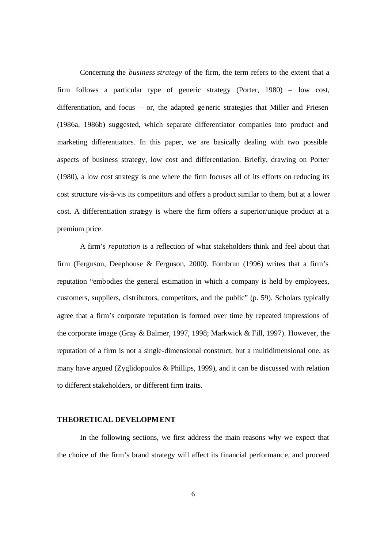Concerning the *business strategy* of the firm, the term refers to the extent that a firm follows a particular type of generic strategy (Porter, 1980) – low cost, differentiation, and focus – or, the adapted generic strategies that Miller and Friesen (1986a, 1986b) suggested, which separate differentiator companies into product and marketing differentiators. In this paper, we are basically dealing with two possible aspects of business strategy, low cost and differentiation. Briefly, drawing on Porter (1980), a low cost strategy is one where the firm focuses all of its efforts on reducing its cost structure vis-à-vis its competitors and offers a product similar to them, but at a lower cost. A differentiation strategy is where the firm offers a superior/unique product at a premium price.

A firm's *reputation* is a reflection of what stakeholders think and feel about that firm (Ferguson, Deephouse & Ferguson, 2000). Fombrun (1996) writes that a firm's reputation "embodies the general estimation in which a company is held by employees, customers, suppliers, distributors, competitors, and the public" (p. 59). Scholars typically agree that a firm's corporate reputation is formed over time by repeated impressions of the corporate image (Gray & Balmer, 1997, 1998; Markwick & Fill, 1997). However, the reputation of a firm is not a single-dimensional construct, but a multidimensional one, as many have argued (Zyglidopoulos  $&$  Phillips, 1999), and it can be discussed with relation to different stakeholders, or different firm traits.

#### **THEORETICAL DEVELOPMENT**

In the following sections, we first address the main reasons why we expect that the choice of the firm's brand strategy will affect its financial performanc e, and proceed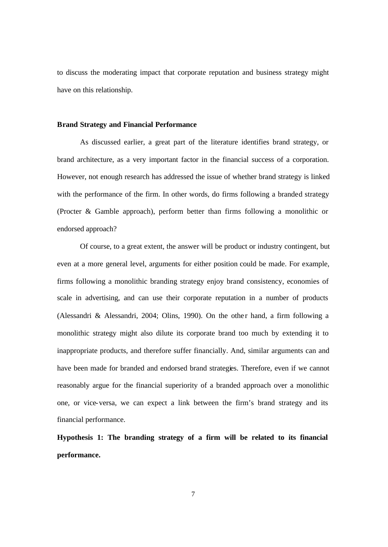to discuss the moderating impact that corporate reputation and business strategy might have on this relationship.

#### **Brand Strategy and Financial Performance**

As discussed earlier, a great part of the literature identifies brand strategy, or brand architecture, as a very important factor in the financial success of a corporation. However, not enough research has addressed the issue of whether brand strategy is linked with the performance of the firm. In other words, do firms following a branded strategy (Procter & Gamble approach), perform better than firms following a monolithic or endorsed approach?

Of course, to a great extent, the answer will be product or industry contingent, but even at a more general level, arguments for either position could be made. For example, firms following a monolithic branding strategy enjoy brand consistency, economies of scale in advertising, and can use their corporate reputation in a number of products (Alessandri & Alessandri, 2004; Olins, 1990). On the other hand, a firm following a monolithic strategy might also dilute its corporate brand too much by extending it to inappropriate products, and therefore suffer financially. And, similar arguments can and have been made for branded and endorsed brand strategies. Therefore, even if we cannot reasonably argue for the financial superiority of a branded approach over a monolithic one, or vice-versa, we can expect a link between the firm's brand strategy and its financial performance.

**Hypothesis 1: The branding strategy of a firm will be related to its financial performance.**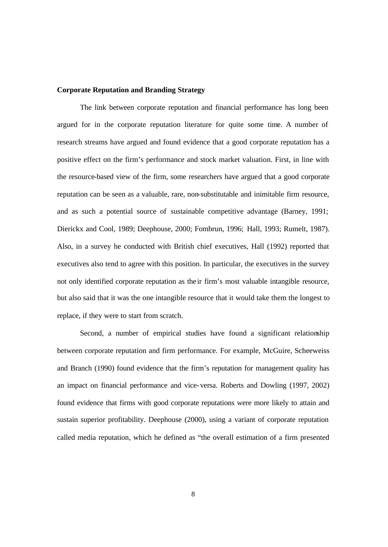#### **Corporate Reputation and Branding Strategy**

The link between corporate reputation and financial performance has long been argued for in the corporate reputation literature for quite some time. A number of research streams have argued and found evidence that a good corporate reputation has a positive effect on the firm's performance and stock market valuation. First, in line with the resource-based view of the firm, some researchers have argued that a good corporate reputation can be seen as a valuable, rare, non-substitutable and inimitable firm resource, and as such a potential source of sustainable competitive advantage (Barney, 1991; Dierickx and Cool, 1989; Deephouse, 2000; Fombrun, 1996; Hall, 1993; Rumelt, 1987). Also, in a survey he conducted with British chief executives, Hall (1992) reported that executives also tend to agree with this position. In particular, the executives in the survey not only identified corporate reputation as the ir firm's most valuable intangible resource, but also said that it was the one intangible resource that it would take them the longest to replace, if they were to start from scratch.

Second, a number of empirical studies have found a significant relationship between corporate reputation and firm performance. For example, McGuire, Scheeweiss and Branch (1990) found evidence that the firm's reputation for management quality has an impact on financial performance and vice-versa. Roberts and Dowling (1997, 2002) found evidence that firms with good corporate reputations were more likely to attain and sustain superior profitability. Deephouse (2000), using a variant of corporate reputation called media reputation, which he defined as "the overall estimation of a firm presented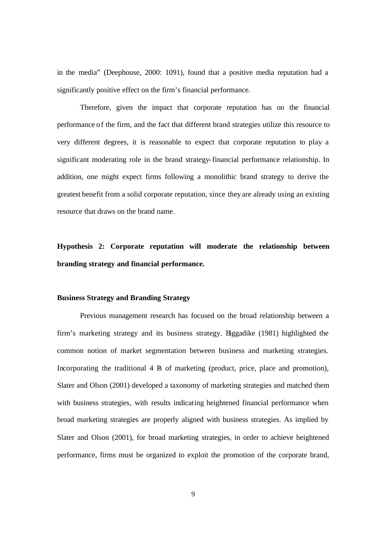in the media" (Deephouse, 2000: 1091), found that a positive media reputation had a significantly positive effect on the firm's financial performance.

Therefore, given the impact that corporate reputation has on the financial performance of the firm, and the fact that different brand strategies utilize this resource to very different degrees, it is reasonable to expect that corporate reputation to play a significant moderating role in the brand strategy-financial performance relationship. In addition, one might expect firms following a monolithic brand strategy to derive the greatest benefit from a solid corporate reputation, since they are already using an existing resource that draws on the brand name.

**Hypothesis 2: Corporate reputation will moderate the relationship between branding strategy and financial performance.**

## **Business Strategy and Branding Strategy**

Previous management research has focused on the broad relationship between a firm's marketing strategy and its business strategy. Biggadike (1981) highlighted the common notion of market segmentation between business and marketing strategies. Incorporating the traditional  $4 \text{ R}$  of marketing (product, price, place and promotion), Slater and Olson (2001) developed a taxonomy of marketing strategies and matched them with business strategies, with results indicating heightened financial performance when broad marketing strategies are properly aligned with business strategies. As implied by Slater and Olson (2001), for broad marketing strategies, in order to achieve heightened performance, firms must be organized to exploit the promotion of the corporate brand,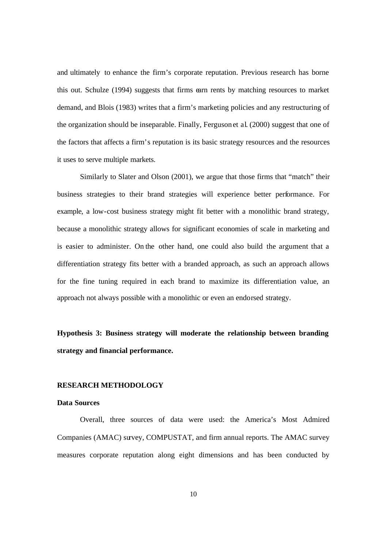and ultimately to enhance the firm's corporate reputation. Previous research has borne this out. Schulze (1994) suggests that firms earn rents by matching resources to market demand, and Blois (1983) writes that a firm's marketing policies and any restructuring of the organization should be inseparable. Finally, Ferguson et al. (2000) suggest that one of the factors that affects a firm's reputation is its basic strategy resources and the resources it uses to serve multiple markets.

Similarly to Slater and Olson (2001), we argue that those firms that "match" their business strategies to their brand strategies will experience better performance. For example, a low-cost business strategy might fit better with a monolithic brand strategy, because a monolithic strategy allows for significant economies of scale in marketing and is easier to administer. On the other hand, one could also build the argument that a differentiation strategy fits better with a branded approach, as such an approach allows for the fine tuning required in each brand to maximize its differentiation value, an approach not always possible with a monolithic or even an endorsed strategy.

**Hypothesis 3: Business strategy will moderate the relationship between branding strategy and financial performance.**

#### **RESEARCH METHODOLOGY**

#### **Data Sources**

Overall, three sources of data were used: the America's Most Admired Companies (AMAC) survey, COMPUSTAT, and firm annual reports. The AMAC survey measures corporate reputation along eight dimensions and has been conducted by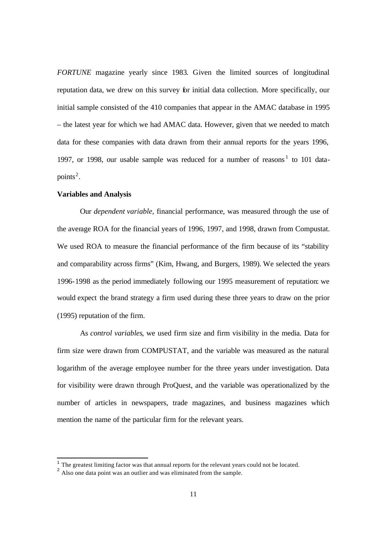*FORTUNE* magazine yearly since 1983. Given the limited sources of longitudinal reputation data, we drew on this survey for initial data collection. More specifically, our initial sample consisted of the 410 companies that appear in the AMAC database in 1995 – the latest year for which we had AMAC data. However, given that we needed to match data for these companies with data drawn from their annual reports for the years 1996, 1997, or 1998, our usable sample was reduced for a number of reasons<sup>1</sup> to 101 datapoints<sup>2</sup>.

#### **Variables and Analysis**

l

Our *dependent variable*, financial performance, was measured through the use of the average ROA for the financial years of 1996, 1997, and 1998, drawn from Compustat. We used ROA to measure the financial performance of the firm because of its "stability and comparability across firms" (Kim, Hwang, and Burgers, 1989). We selected the years 1996-1998 as the period immediately following our 1995 measurement of reputation: we would expect the brand strategy a firm used during these three years to draw on the prior (1995) reputation of the firm.

As *control variables*, we used firm size and firm visibility in the media. Data for firm size were drawn from COMPUSTAT, and the variable was measured as the natural logarithm of the average employee number for the three years under investigation. Data for visibility were drawn through ProQuest, and the variable was operationalized by the number of articles in newspapers, trade magazines, and business magazines which mention the name of the particular firm for the relevant years.

 $<sup>1</sup>$  The greatest limiting factor was that annual reports for the relevant years could not be located.</sup>

<sup>&</sup>lt;sup>2</sup> Also one data point was an outlier and was eliminated from the sample.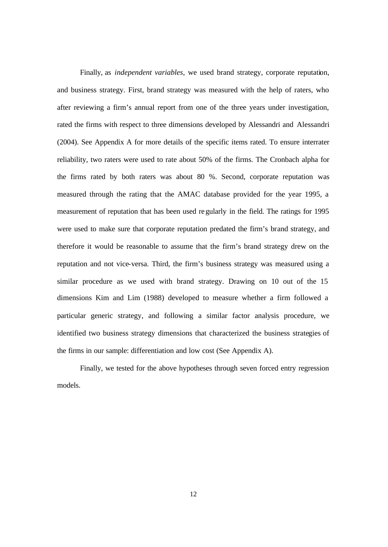Finally, as *independent variables*, we used brand strategy, corporate reputation, and business strategy. First, brand strategy was measured with the help of raters, who after reviewing a firm's annual report from one of the three years under investigation, rated the firms with respect to three dimensions developed by Alessandri and Alessandri (2004). See Appendix A for more details of the specific items rated. To ensure interrater reliability, two raters were used to rate about 50% of the firms. The Cronbach alpha for the firms rated by both raters was about 80 %. Second, corporate reputation was measured through the rating that the AMAC database provided for the year 1995, a measurement of reputation that has been used regularly in the field. The ratings for 1995 were used to make sure that corporate reputation predated the firm's brand strategy, and therefore it would be reasonable to assume that the firm's brand strategy drew on the reputation and not vice-versa. Third, the firm's business strategy was measured using a similar procedure as we used with brand strategy. Drawing on 10 out of the 15 dimensions Kim and Lim (1988) developed to measure whether a firm followed a particular generic strategy, and following a similar factor analysis procedure, we identified two business strategy dimensions that characterized the business strategies of the firms in our sample: differentiation and low cost (See Appendix A).

Finally, we tested for the above hypotheses through seven forced entry regression models.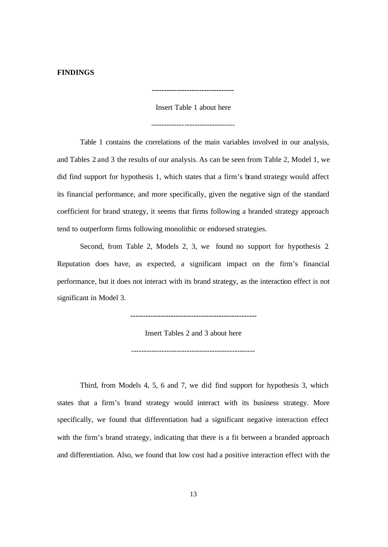#### **FINDINGS**

Insert Table 1 about here

**---------------------------------**

---------------------------------

Table 1 contains the correlations of the main variables involved in our analysis, and Tables 2 and 3 the results of our analysis. As can be seen from Table 2, Model 1, we did find support for hypothesis 1, which states that a firm's brand strategy would affect its financial performance, and more specifically, given the negative sign of the standard coefficient for brand strategy, it seems that firms following a branded strategy approach tend to outperform firms following monolithic or endorsed strategies.

Second, from Table 2, Models 2, 3, we found no support for hypothesis 2. Reputation does have, as expected, a significant impact on the firm's financial performance, but it does not interact with its brand strategy, as the interaction effect is not significant in Model 3.

**--------------------------------------------------**

Insert Tables 2 and 3 about here

-------------------------------------------------

Third, from Models 4, 5, 6 and 7, we did find support for hypothesis 3, which states that a firm's brand strategy would interact with its business strategy. More specifically, we found that differentiation had a significant negative interaction effect with the firm's brand strategy, indicating that there is a fit between a branded approach and differentiation. Also, we found that low cost had a positive interaction effect with the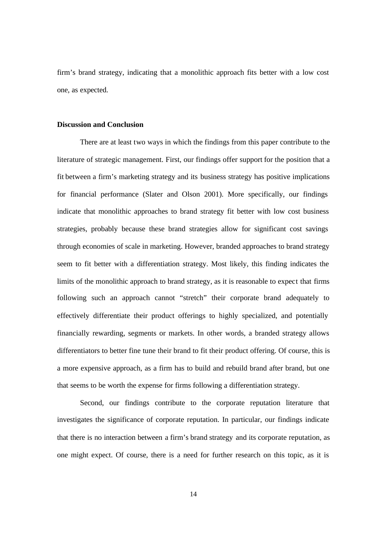firm's brand strategy, indicating that a monolithic approach fits better with a low cost one, as expected.

## **Discussion and Conclusion**

There are at least two ways in which the findings from this paper contribute to the literature of strategic management. First, our findings offer support for the position that a fit between a firm's marketing strategy and its business strategy has positive implications for financial performance (Slater and Olson 2001). More specifically, our findings indicate that monolithic approaches to brand strategy fit better with low cost business strategies, probably because these brand strategies allow for significant cost savings through economies of scale in marketing. However, branded approaches to brand strategy seem to fit better with a differentiation strategy. Most likely, this finding indicates the limits of the monolithic approach to brand strategy, as it is reasonable to expect that firms following such an approach cannot "stretch" their corporate brand adequately to effectively differentiate their product offerings to highly specialized, and potentially financially rewarding, segments or markets. In other words, a branded strategy allows differentiators to better fine tune their brand to fit their product offering. Of course, this is a more expensive approach, as a firm has to build and rebuild brand after brand, but one that seems to be worth the expense for firms following a differentiation strategy.

Second, our findings contribute to the corporate reputation literature that investigates the significance of corporate reputation. In particular, our findings indicate that there is no interaction between a firm's brand strategy and its corporate reputation, as one might expect. Of course, there is a need for further research on this topic, as it is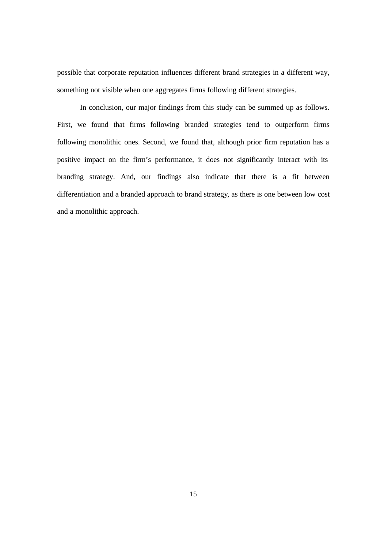possible that corporate reputation influences different brand strategies in a different way, something not visible when one aggregates firms following different strategies.

 In conclusion, our major findings from this study can be summed up as follows. First, we found that firms following branded strategies tend to outperform firms following monolithic ones. Second, we found that, although prior firm reputation has a positive impact on the firm's performance, it does not significantly interact with its branding strategy. And, our findings also indicate that there is a fit between differentiation and a branded approach to brand strategy, as there is one between low cost and a monolithic approach.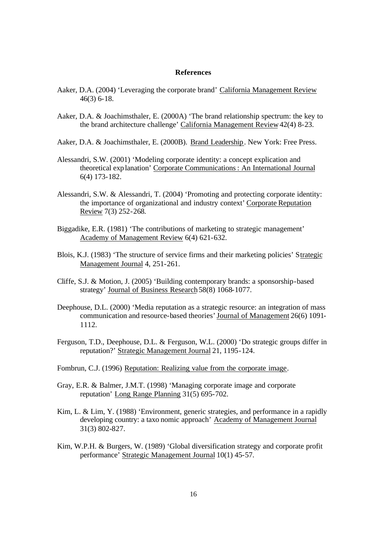#### **References**

- Aaker, D.A. (2004) 'Leveraging the corporate brand' California Management Review 46(3) 6-18.
- Aaker, D.A. & Joachimsthaler, E. (2000A) 'The brand relationship spectrum: the key to the brand architecture challenge' California Management Review 42(4) 8-23.
- Aaker, D.A. & Joachimsthaler, E. (2000B). Brand Leadership. New York: Free Press.
- Alessandri, S.W. (2001) 'Modeling corporate identity: a concept explication and theoretical explanation' Corporate Communications: An International Journal 6(4) 173-182.
- Alessandri, S.W. & Alessandri, T. (2004) 'Promoting and protecting corporate identity: the importance of organizational and industry context' Corporate Reputation Review 7(3) 252-268.
- Biggadike, E.R. (1981) 'The contributions of marketing to strategic management' Academy of Management Review 6(4) 621-632.
- Blois, K.J. (1983) 'The structure of service firms and their marketing policies' Strategic Management Journal 4, 251-261.
- Cliffe, S.J. & Motion, J. (2005) 'Building contemporary brands: a sponsorship-based strategy' Journal of Business Research 58(8) 1068-1077.
- Deephouse, D.L. (2000) 'Media reputation as a strategic resource: an integration of mass communication and resource-based theories' Journal of Management 26(6) 1091- 1112.
- Ferguson, T.D., Deephouse, D.L. & Ferguson, W.L. (2000) 'Do strategic groups differ in reputation?' Strategic Management Journal 21, 1195-124.
- Fombrun, C.J. (1996) Reputation: Realizing value from the corporate image.
- Gray, E.R. & Balmer, J.M.T. (1998) 'Managing corporate image and corporate reputation' Long Range Planning 31(5) 695-702.
- Kim, L. & Lim, Y. (1988) 'Environment, generic strategies, and performance in a rapidly developing country: a taxo nomic approach' Academy of Management Journal 31(3) 802-827.
- Kim, W.P.H. & Burgers, W. (1989) 'Global diversification strategy and corporate profit performance' Strategic Management Journal 10(1) 45-57.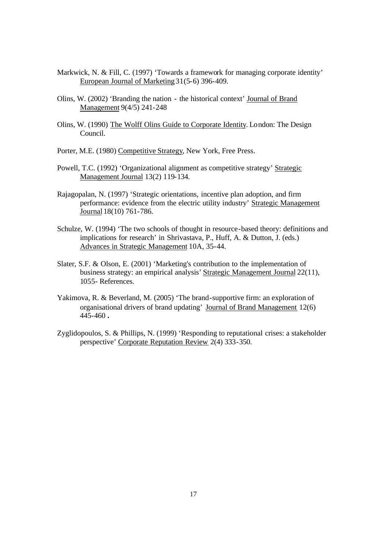- Markwick, N. & Fill, C. (1997) 'Towards a framework for managing corporate identity' European Journal of Marketing 31(5-6) 396-409.
- Olins, W. (2002) 'Branding the nation the historical context' Journal of Brand Management 9(4/5) 241-248
- Olins, W. (1990) The Wolff Olins Guide to Corporate Identity. London: The Design Council.
- Porter, M.E. (1980) Competitive Strategy, New York, Free Press.
- Powell, T.C. (1992) 'Organizational alignment as competitive strategy' Strategic Management Journal 13(2) 119-134.
- Rajagopalan, N. (1997) 'Strategic orientations, incentive plan adoption, and firm performance: evidence from the electric utility industry' Strategic Management Journal 18(10) 761-786.
- Schulze, W. (1994) 'The two schools of thought in resource-based theory: definitions and implications for research' in Shrivastava, P., Huff, A. & Dutton, J. (eds.) Advances in Strategic Management 10A, 35-44.
- Slater, S.F. & Olson, E. (2001) 'Marketing's contribution to the implementation of business strategy: an empirical analysis' Strategic Management Journal 22(11), 1055- References.
- Yakimova, R. & Beverland, M. (2005) 'The brand-supportive firm: an exploration of organisational drivers of brand updating' Journal of Brand Management 12(6) 445-460 **.**
- Zyglidopoulos, S. & Phillips, N. (1999) 'Responding to reputational crises: a stakeholder perspective' Corporate Reputation Review 2(4) 333-350.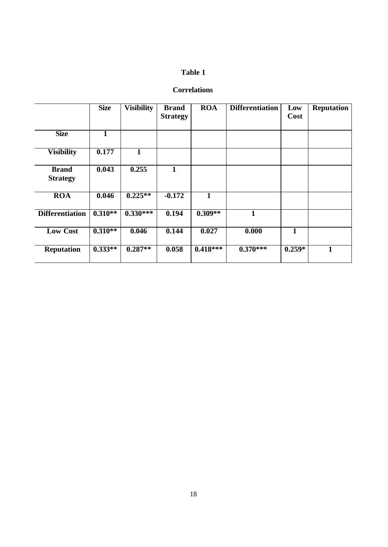# **Table 1**

# **Correlations**

|                                 | <b>Size</b> | <b>Visibility</b> | <b>Brand</b><br><b>Strategy</b> | <b>ROA</b> | <b>Differentiation</b> | Low<br>Cost | <b>Reputation</b> |
|---------------------------------|-------------|-------------------|---------------------------------|------------|------------------------|-------------|-------------------|
| <b>Size</b>                     | 1           |                   |                                 |            |                        |             |                   |
| <b>Visibility</b>               | 0.177       | 1                 |                                 |            |                        |             |                   |
| <b>Brand</b><br><b>Strategy</b> | 0.043       | 0.255             | 1                               |            |                        |             |                   |
| <b>ROA</b>                      | 0.046       | $0.225**$         | $-0.172$                        | 1          |                        |             |                   |
| <b>Differentiation</b>          | $0.310**$   | $0.330***$        | 0.194                           | $0.309**$  | $\mathbf{1}$           |             |                   |
| <b>Low Cost</b>                 | $0.310**$   | 0.046             | 0.144                           | 0.027      | 0.000                  | 1           |                   |
| <b>Reputation</b>               | $0.333**$   | $0.287**$         | 0.058                           | $0.418***$ | $0.370***$             | $0.259*$    | 1                 |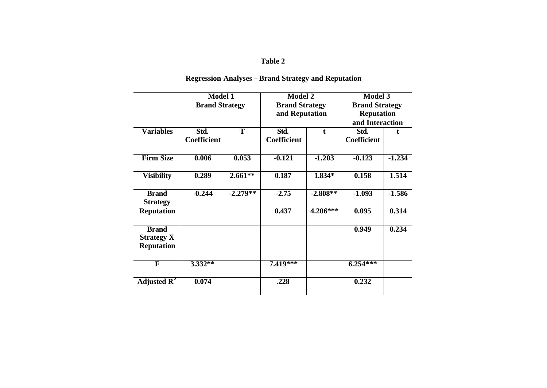# **Table 2**

|                         | <b>Model 1</b>        |            | <b>Model 2</b>        |            | <b>Model 3</b>        |          |  |  |  |
|-------------------------|-----------------------|------------|-----------------------|------------|-----------------------|----------|--|--|--|
|                         | <b>Brand Strategy</b> |            | <b>Brand Strategy</b> |            | <b>Brand Strategy</b> |          |  |  |  |
|                         |                       |            | and Reputation        |            | <b>Reputation</b>     |          |  |  |  |
|                         |                       |            |                       |            | and Interaction       |          |  |  |  |
|                         |                       |            |                       |            |                       |          |  |  |  |
| <b>Variables</b>        | Std.                  | T          | Std.                  | t          | Std.                  |          |  |  |  |
|                         | <b>Coefficient</b>    |            | <b>Coefficient</b>    |            | <b>Coefficient</b>    |          |  |  |  |
|                         |                       |            |                       |            |                       |          |  |  |  |
| <b>Firm Size</b>        | 0.006                 | 0.053      | $-0.121$              | $-1.203$   | $-0.123$              | $-1.234$ |  |  |  |
|                         |                       |            |                       |            |                       |          |  |  |  |
| <b>Visibility</b>       | 0.289                 | $2.661**$  | 0.187                 | $1.834*$   | 0.158                 | 1.514    |  |  |  |
|                         |                       |            |                       |            |                       |          |  |  |  |
| <b>Brand</b>            | $-0.244$              | $-2.279**$ | $-2.75$               | $-2.808**$ | $-1.093$              | $-1.586$ |  |  |  |
| <b>Strategy</b>         |                       |            |                       |            |                       |          |  |  |  |
|                         |                       |            |                       |            |                       |          |  |  |  |
| <b>Reputation</b>       |                       |            | 0.437                 | 4.206***   | 0.095                 | 0.314    |  |  |  |
|                         |                       |            |                       |            |                       |          |  |  |  |
| <b>Brand</b>            |                       |            |                       |            | 0.949                 | 0.234    |  |  |  |
| <b>Strategy X</b>       |                       |            |                       |            |                       |          |  |  |  |
| <b>Reputation</b>       |                       |            |                       |            |                       |          |  |  |  |
|                         |                       |            |                       |            |                       |          |  |  |  |
| F                       | $3.332**$             |            | 7.419***              |            | $6.254***$            |          |  |  |  |
|                         |                       |            |                       |            |                       |          |  |  |  |
| Adjusted $\mathbb{R}^2$ | 0.074                 |            | .228                  |            | 0.232                 |          |  |  |  |
|                         |                       |            |                       |            |                       |          |  |  |  |
|                         |                       |            |                       |            |                       |          |  |  |  |

# **Regression Analyses – Brand Strategy and Reputation**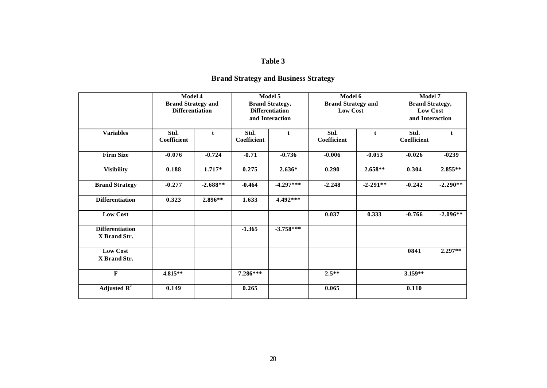# **Table 3**

| <b>Brand Strategy and Business Strategy</b> |  |  |
|---------------------------------------------|--|--|
|---------------------------------------------|--|--|

|                                        | Model 4<br><b>Brand Strategy and</b><br><b>Differentiation</b> |            |                            | Model 5<br><b>Brand Strategy,</b><br><b>Differentiation</b><br>and Interaction | Model 6<br><b>Brand Strategy and</b><br><b>Low Cost</b> |               | Model 7<br><b>Brand Strategy,</b><br><b>Low Cost</b><br>and Interaction |              |  |
|----------------------------------------|----------------------------------------------------------------|------------|----------------------------|--------------------------------------------------------------------------------|---------------------------------------------------------|---------------|-------------------------------------------------------------------------|--------------|--|
| <b>Variables</b>                       | Std.<br><b>Coefficient</b>                                     | t          | Std.<br><b>Coefficient</b> | t                                                                              | Std.<br>Coefficient                                     | t             | Std.<br>Coefficient                                                     | $\mathbf{t}$ |  |
| <b>Firm Size</b>                       | $-0.076$                                                       | $-0.724$   | $-0.71$                    | $-0.736$                                                                       | $-0.006$                                                | $-0.053$      | $-0.026$                                                                | $-0239$      |  |
| <b>Visibility</b>                      | 0.188                                                          | $1.717*$   | 0.275                      | $2.636*$                                                                       | 0.290                                                   | $2.658**$     | 0.304                                                                   | $2.855**$    |  |
| <b>Brand Strategy</b>                  | $-0.277$                                                       | $-2.688**$ | $-0.464$                   | $-4.297***$                                                                    | $-2.248$                                                | $-2 - 291$ ** | $-0.242$                                                                | $-2.290**$   |  |
| <b>Differentiation</b>                 | 0.323                                                          | $2.896**$  | 1.633                      | 4.492***                                                                       |                                                         |               |                                                                         |              |  |
| <b>Low Cost</b>                        |                                                                |            |                            |                                                                                | 0.037                                                   | 0.333         | $-0.766$                                                                | $-2.096**$   |  |
| <b>Differentiation</b><br>X Brand Str. |                                                                |            | $-1.365$                   | $-3.758***$                                                                    |                                                         |               |                                                                         |              |  |
| <b>Low Cost</b><br>X Brand Str.        |                                                                |            |                            |                                                                                |                                                         |               | 0841                                                                    | $2.297**$    |  |
| F                                      | $4.815**$                                                      |            | $7.286***$                 |                                                                                | $2.5***$                                                |               | 3.159**                                                                 |              |  |
| Adjusted $\mathbf{R}^2$                | 0.149                                                          |            | 0.265                      |                                                                                | 0.065                                                   |               | 0.110                                                                   |              |  |